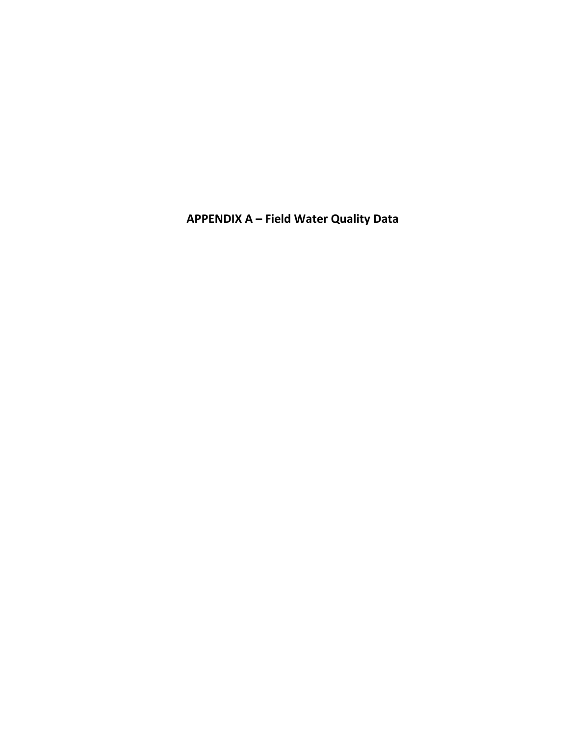**APPENDIX A – Field Water Quality Data**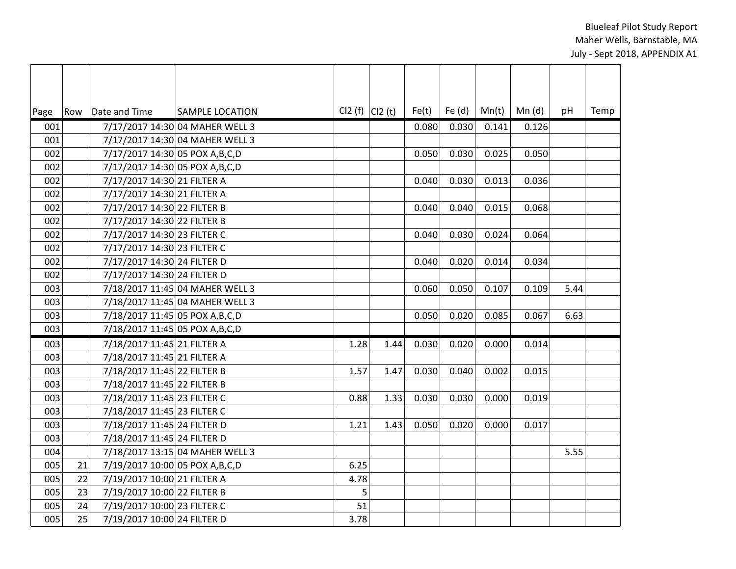| Page | Row | Date and Time                     | <b>SAMPLE LOCATION</b>          | CI2 $(f)$ CI2 $(t)$ |      | Fe(t) | Fe $(d)$ | Mn(t) | Mn(d) | pH   | Temp |
|------|-----|-----------------------------------|---------------------------------|---------------------|------|-------|----------|-------|-------|------|------|
| 001  |     |                                   | 7/17/2017 14:30 04 MAHER WELL 3 |                     |      | 0.080 | 0.030    | 0.141 | 0.126 |      |      |
| 001  |     |                                   | 7/17/2017 14:30 04 MAHER WELL 3 |                     |      |       |          |       |       |      |      |
| 002  |     | 7/17/2017 14:30 05 POX A, B, C, D |                                 |                     |      | 0.050 | 0.030    | 0.025 | 0.050 |      |      |
| 002  |     | 7/17/2017 14:30 05 POX A, B, C, D |                                 |                     |      |       |          |       |       |      |      |
| 002  |     | 7/17/2017 14:30 21 FILTER A       |                                 |                     |      | 0.040 | 0.030    | 0.013 | 0.036 |      |      |
| 002  |     | 7/17/2017 14:30 21 FILTER A       |                                 |                     |      |       |          |       |       |      |      |
| 002  |     | 7/17/2017 14:30 22 FILTER B       |                                 |                     |      | 0.040 | 0.040    | 0.015 | 0.068 |      |      |
| 002  |     | 7/17/2017 14:30 22 FILTER B       |                                 |                     |      |       |          |       |       |      |      |
| 002  |     | 7/17/2017 14:30 23 FILTER C       |                                 |                     |      | 0.040 | 0.030    | 0.024 | 0.064 |      |      |
| 002  |     | 7/17/2017 14:30 23 FILTER C       |                                 |                     |      |       |          |       |       |      |      |
| 002  |     | 7/17/2017 14:30 24 FILTER D       |                                 |                     |      | 0.040 | 0.020    | 0.014 | 0.034 |      |      |
| 002  |     | 7/17/2017 14:30 24 FILTER D       |                                 |                     |      |       |          |       |       |      |      |
| 003  |     |                                   | 7/18/2017 11:45 04 MAHER WELL 3 |                     |      | 0.060 | 0.050    | 0.107 | 0.109 | 5.44 |      |
| 003  |     |                                   | 7/18/2017 11:45 04 MAHER WELL 3 |                     |      |       |          |       |       |      |      |
| 003  |     | 7/18/2017 11:45 05 POX A, B, C, D |                                 |                     |      | 0.050 | 0.020    | 0.085 | 0.067 | 6.63 |      |
| 003  |     | 7/18/2017 11:45 05 POX A, B, C, D |                                 |                     |      |       |          |       |       |      |      |
| 003  |     | 7/18/2017 11:45 21 FILTER A       |                                 | 1.28                | 1.44 | 0.030 | 0.020    | 0.000 | 0.014 |      |      |
| 003  |     | 7/18/2017 11:45 21 FILTER A       |                                 |                     |      |       |          |       |       |      |      |
| 003  |     | 7/18/2017 11:45 22 FILTER B       |                                 | 1.57                | 1.47 | 0.030 | 0.040    | 0.002 | 0.015 |      |      |
| 003  |     | 7/18/2017 11:45 22 FILTER B       |                                 |                     |      |       |          |       |       |      |      |
| 003  |     | 7/18/2017 11:45 23 FILTER C       |                                 | 0.88                | 1.33 | 0.030 | 0.030    | 0.000 | 0.019 |      |      |
| 003  |     | 7/18/2017 11:45 23 FILTER C       |                                 |                     |      |       |          |       |       |      |      |
| 003  |     | 7/18/2017 11:45 24 FILTER D       |                                 | 1.21                | 1.43 | 0.050 | 0.020    | 0.000 | 0.017 |      |      |
| 003  |     | 7/18/2017 11:45 24 FILTER D       |                                 |                     |      |       |          |       |       |      |      |
| 004  |     |                                   | 7/18/2017 13:15 04 MAHER WELL 3 |                     |      |       |          |       |       | 5.55 |      |
| 005  | 21  | 7/19/2017 10:00 05 POX A, B, C, D |                                 | 6.25                |      |       |          |       |       |      |      |
| 005  | 22  | 7/19/2017 10:00 21 FILTER A       |                                 | 4.78                |      |       |          |       |       |      |      |
| 005  | 23  | 7/19/2017 10:00 22 FILTER B       |                                 | 5                   |      |       |          |       |       |      |      |
| 005  | 24  | 7/19/2017 10:00 23 FILTER C       |                                 | 51                  |      |       |          |       |       |      |      |
| 005  | 25  | 7/19/2017 10:00 24 FILTER D       |                                 | 3.78                |      |       |          |       |       |      |      |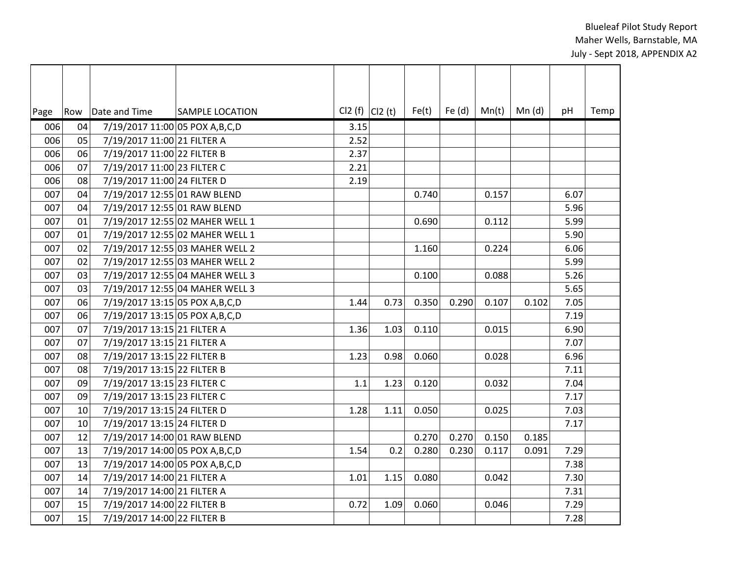| Page |    | Row   Date and Time               | <b>SAMPLE LOCATION</b>          | $Cl2(f)$ $Cl2(t)$ |      | Fe(t) | Fe $(d)$ | Mn(t) | Mn(d) | pH     | Temp |
|------|----|-----------------------------------|---------------------------------|-------------------|------|-------|----------|-------|-------|--------|------|
| 006  | 04 | 7/19/2017 11:00 05 POX A, B, C, D |                                 | 3.15              |      |       |          |       |       |        |      |
| 006  | 05 | 7/19/2017 11:00 21 FILTER A       |                                 | 2.52              |      |       |          |       |       |        |      |
| 006  | 06 | 7/19/2017 11:00 22 FILTER B       |                                 | 2.37              |      |       |          |       |       |        |      |
| 006  | 07 | 7/19/2017 11:00 23 FILTER C       |                                 | 2.21              |      |       |          |       |       |        |      |
| 006  | 08 | 7/19/2017 11:00 24 FILTER D       |                                 | 2.19              |      |       |          |       |       |        |      |
| 007  | 04 | 7/19/2017 12:55 01 RAW BLEND      |                                 |                   |      | 0.740 |          | 0.157 |       | 6.07   |      |
| 007  | 04 | 7/19/2017 12:55 01 RAW BLEND      |                                 |                   |      |       |          |       |       | 5.96   |      |
| 007  | 01 |                                   | 7/19/2017 12:55 02 MAHER WELL 1 |                   |      | 0.690 |          | 0.112 |       | 5.99   |      |
| 007  | 01 |                                   | 7/19/2017 12:55 02 MAHER WELL 1 |                   |      |       |          |       |       | 5.90   |      |
| 007  | 02 |                                   | 7/19/2017 12:55 03 MAHER WELL 2 |                   |      | 1.160 |          | 0.224 |       | 6.06   |      |
| 007  | 02 |                                   | 7/19/2017 12:55 03 MAHER WELL 2 |                   |      |       |          |       |       | 5.99   |      |
| 007  | 03 |                                   | 7/19/2017 12:55 04 MAHER WELL 3 |                   |      | 0.100 |          | 0.088 |       | 5.26   |      |
| 007  | 03 |                                   | 7/19/2017 12:55 04 MAHER WELL 3 |                   |      |       |          |       |       | $5.65$ |      |
| 007  | 06 | 7/19/2017 13:15 05 POX A, B, C, D |                                 | 1.44              | 0.73 | 0.350 | 0.290    | 0.107 | 0.102 | 7.05   |      |
| 007  | 06 | 7/19/2017 13:15 05 POX A, B, C, D |                                 |                   |      |       |          |       |       | 7.19   |      |
| 007  | 07 | 7/19/2017 13:15 21 FILTER A       |                                 | 1.36              | 1.03 | 0.110 |          | 0.015 |       | 6.90   |      |
| 007  | 07 | 7/19/2017 13:15 21 FILTER A       |                                 |                   |      |       |          |       |       | 7.07   |      |
| 007  | 08 | 7/19/2017 13:15 22 FILTER B       |                                 | 1.23              | 0.98 | 0.060 |          | 0.028 |       | 6.96   |      |
| 007  | 08 | 7/19/2017 13:15 22 FILTER B       |                                 |                   |      |       |          |       |       | 7.11   |      |
| 007  | 09 | 7/19/2017 13:15 23 FILTER C       |                                 | 1.1               | 1.23 | 0.120 |          | 0.032 |       | 7.04   |      |
| 007  | 09 | 7/19/2017 13:15 23 FILTER C       |                                 |                   |      |       |          |       |       | 7.17   |      |
| 007  | 10 | 7/19/2017 13:15 24 FILTER D       |                                 | 1.28              | 1.11 | 0.050 |          | 0.025 |       | 7.03   |      |
| 007  | 10 | 7/19/2017 13:15 24 FILTER D       |                                 |                   |      |       |          |       |       | 7.17   |      |
| 007  | 12 | 7/19/2017 14:00 01 RAW BLEND      |                                 |                   |      | 0.270 | 0.270    | 0.150 | 0.185 |        |      |
| 007  | 13 | 7/19/2017 14:00 05 POX A, B, C, D |                                 | 1.54              | 0.2  | 0.280 | 0.230    | 0.117 | 0.091 | 7.29   |      |
| 007  | 13 | 7/19/2017 14:00 05 POX A, B, C, D |                                 |                   |      |       |          |       |       | 7.38   |      |
| 007  | 14 | 7/19/2017 14:00 21 FILTER A       |                                 | 1.01              | 1.15 | 0.080 |          | 0.042 |       | 7.30   |      |
| 007  | 14 | 7/19/2017 14:00 21 FILTER A       |                                 |                   |      |       |          |       |       | 7.31   |      |
| 007  | 15 | 7/19/2017 14:00 22 FILTER B       |                                 | 0.72              | 1.09 | 0.060 |          | 0.046 |       | 7.29   |      |
| 007  | 15 | 7/19/2017 14:00 22 FILTER B       |                                 |                   |      |       |          |       |       | 7.28   |      |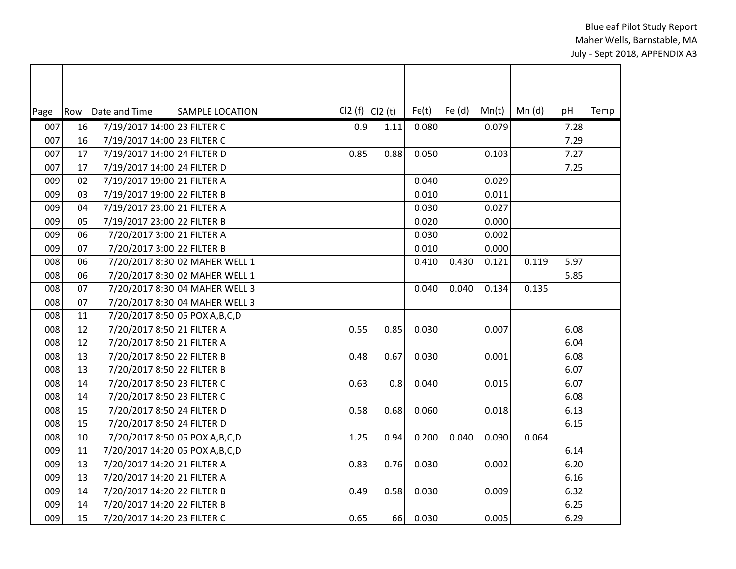| Page | Row | Date and Time                     | <b>SAMPLE LOCATION</b>         | $Cl2(f)$ $Cl2(t)$ |      | Fe(t) | Fe $(d)$ | Mn(t) | Mn(d) | pH   | Temp |
|------|-----|-----------------------------------|--------------------------------|-------------------|------|-------|----------|-------|-------|------|------|
| 007  | 16  | 7/19/2017 14:00 23 FILTER C       |                                | 0.9               | 1.11 | 0.080 |          | 0.079 |       | 7.28 |      |
| 007  | 16  | 7/19/2017 14:00 23 FILTER C       |                                |                   |      |       |          |       |       | 7.29 |      |
| 007  | 17  | 7/19/2017 14:00 24 FILTER D       |                                | 0.85              | 0.88 | 0.050 |          | 0.103 |       | 7.27 |      |
| 007  | 17  | 7/19/2017 14:00 24 FILTER D       |                                |                   |      |       |          |       |       | 7.25 |      |
| 009  | 02  | 7/19/2017 19:00 21 FILTER A       |                                |                   |      | 0.040 |          | 0.029 |       |      |      |
| 009  | 03  | 7/19/2017 19:00 22 FILTER B       |                                |                   |      | 0.010 |          | 0.011 |       |      |      |
| 009  | 04  | 7/19/2017 23:00 21 FILTER A       |                                |                   |      | 0.030 |          | 0.027 |       |      |      |
| 009  | 05  | 7/19/2017 23:00 22 FILTER B       |                                |                   |      | 0.020 |          | 0.000 |       |      |      |
| 009  | 06  | 7/20/2017 3:00 21 FILTER A        |                                |                   |      | 0.030 |          | 0.002 |       |      |      |
| 009  | 07  | 7/20/2017 3:00 22 FILTER B        |                                |                   |      | 0.010 |          | 0.000 |       |      |      |
| 008  | 06  |                                   | 7/20/2017 8:30 02 MAHER WELL 1 |                   |      | 0.410 | 0.430    | 0.121 | 0.119 | 5.97 |      |
| 008  | 06  |                                   | 7/20/2017 8:30 02 MAHER WELL 1 |                   |      |       |          |       |       | 5.85 |      |
| 008  | 07  |                                   | 7/20/2017 8:30 04 MAHER WELL 3 |                   |      | 0.040 | 0.040    | 0.134 | 0.135 |      |      |
| 008  | 07  |                                   | 7/20/2017 8:30 04 MAHER WELL 3 |                   |      |       |          |       |       |      |      |
| 008  | 11  | 7/20/2017 8:50 05 POX A, B, C, D  |                                |                   |      |       |          |       |       |      |      |
| 008  | 12  | 7/20/2017 8:50 21 FILTER A        |                                | 0.55              | 0.85 | 0.030 |          | 0.007 |       | 6.08 |      |
| 008  | 12  | 7/20/2017 8:50 21 FILTER A        |                                |                   |      |       |          |       |       | 6.04 |      |
| 008  | 13  | 7/20/2017 8:50 22 FILTER B        |                                | 0.48              | 0.67 | 0.030 |          | 0.001 |       | 6.08 |      |
| 008  | 13  | 7/20/2017 8:50 22 FILTER B        |                                |                   |      |       |          |       |       | 6.07 |      |
| 008  | 14  | 7/20/2017 8:50 23 FILTER C        |                                | 0.63              | 0.8  | 0.040 |          | 0.015 |       | 6.07 |      |
| 008  | 14  | 7/20/2017 8:50 23 FILTER C        |                                |                   |      |       |          |       |       | 6.08 |      |
| 008  | 15  | 7/20/2017 8:50 24 FILTER D        |                                | 0.58              | 0.68 | 0.060 |          | 0.018 |       | 6.13 |      |
| 008  | 15  | 7/20/2017 8:50 24 FILTER D        |                                |                   |      |       |          |       |       | 6.15 |      |
| 008  | 10  | 7/20/2017 8:50 05 POX A, B, C, D  |                                | 1.25              | 0.94 | 0.200 | 0.040    | 0.090 | 0.064 |      |      |
| 009  | 11  | 7/20/2017 14:20 05 POX A, B, C, D |                                |                   |      |       |          |       |       | 6.14 |      |
| 009  | 13  | 7/20/2017 14:20 21 FILTER A       |                                | 0.83              | 0.76 | 0.030 |          | 0.002 |       | 6.20 |      |
| 009  | 13  | 7/20/2017 14:20 21 FILTER A       |                                |                   |      |       |          |       |       | 6.16 |      |
| 009  | 14  | 7/20/2017 14:20 22 FILTER B       |                                | 0.49              | 0.58 | 0.030 |          | 0.009 |       | 6.32 |      |
| 009  | 14  | 7/20/2017 14:20 22 FILTER B       |                                |                   |      |       |          |       |       | 6.25 |      |
| 009  | 15  | 7/20/2017 14:20 23 FILTER C       |                                | 0.65              | 66   | 0.030 |          | 0.005 |       | 6.29 |      |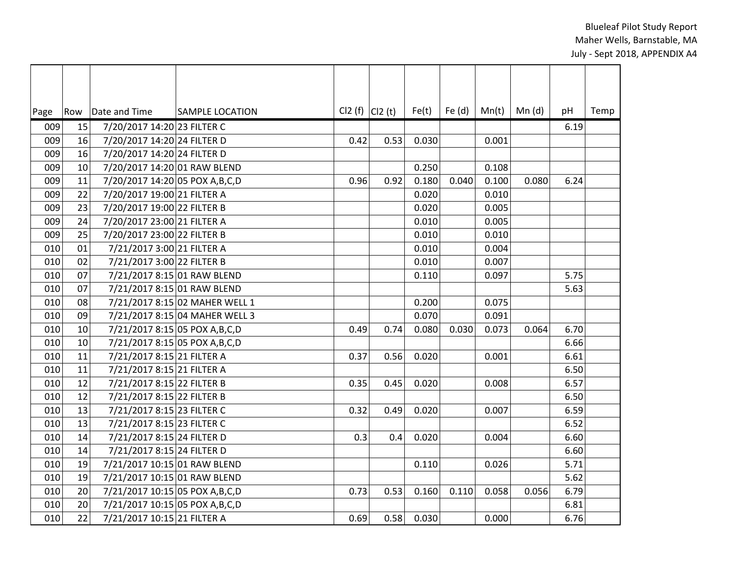| Page | Row | Date and Time                     | <b>SAMPLE LOCATION</b>         | $Cl2(f)$ $Cl2(t)$ |      | Fe(t) | Fe $(d)$ | Mn(t) | Mn(d) | pH   | Temp |
|------|-----|-----------------------------------|--------------------------------|-------------------|------|-------|----------|-------|-------|------|------|
| 009  | 15  | 7/20/2017 14:20 23 FILTER C       |                                |                   |      |       |          |       |       | 6.19 |      |
| 009  | 16  | 7/20/2017 14:20 24 FILTER D       |                                | 0.42              | 0.53 | 0.030 |          | 0.001 |       |      |      |
| 009  | 16  | 7/20/2017 14:20 24 FILTER D       |                                |                   |      |       |          |       |       |      |      |
| 009  | 10  | 7/20/2017 14:20 01 RAW BLEND      |                                |                   |      | 0.250 |          | 0.108 |       |      |      |
| 009  | 11  | 7/20/2017 14:20 05 POX A, B, C, D |                                | 0.96              | 0.92 | 0.180 | 0.040    | 0.100 | 0.080 | 6.24 |      |
| 009  | 22  | 7/20/2017 19:00 21 FILTER A       |                                |                   |      | 0.020 |          | 0.010 |       |      |      |
| 009  | 23  | 7/20/2017 19:00 22 FILTER B       |                                |                   |      | 0.020 |          | 0.005 |       |      |      |
| 009  | 24  | 7/20/2017 23:00 21 FILTER A       |                                |                   |      | 0.010 |          | 0.005 |       |      |      |
| 009  | 25  | 7/20/2017 23:00 22 FILTER B       |                                |                   |      | 0.010 |          | 0.010 |       |      |      |
| 010  | 01  | 7/21/2017 3:00 21 FILTER A        |                                |                   |      | 0.010 |          | 0.004 |       |      |      |
| 010  | 02  | 7/21/2017 3:00 22 FILTER B        |                                |                   |      | 0.010 |          | 0.007 |       |      |      |
| 010  | 07  | 7/21/2017 8:15 01 RAW BLEND       |                                |                   |      | 0.110 |          | 0.097 |       | 5.75 |      |
| 010  | 07  | 7/21/2017 8:15 01 RAW BLEND       |                                |                   |      |       |          |       |       | 5.63 |      |
| 010  | 08  |                                   | 7/21/2017 8:15 02 MAHER WELL 1 |                   |      | 0.200 |          | 0.075 |       |      |      |
| 010  | 09  |                                   | 7/21/2017 8:15 04 MAHER WELL 3 |                   |      | 0.070 |          | 0.091 |       |      |      |
| 010  | 10  | 7/21/2017 8:15 05 POX A, B, C, D  |                                | 0.49              | 0.74 | 0.080 | 0.030    | 0.073 | 0.064 | 6.70 |      |
| 010  | 10  | 7/21/2017 8:15 05 POX A, B, C, D  |                                |                   |      |       |          |       |       | 6.66 |      |
| 010  | 11  | 7/21/2017 8:15 21 FILTER A        |                                | 0.37              | 0.56 | 0.020 |          | 0.001 |       | 6.61 |      |
| 010  | 11  | 7/21/2017 8:15 21 FILTER A        |                                |                   |      |       |          |       |       | 6.50 |      |
| 010  | 12  | 7/21/2017 8:15 22 FILTER B        |                                | 0.35              | 0.45 | 0.020 |          | 0.008 |       | 6.57 |      |
| 010  | 12  | 7/21/2017 8:15 22 FILTER B        |                                |                   |      |       |          |       |       | 6.50 |      |
| 010  | 13  | 7/21/2017 8:15 23 FILTER C        |                                | 0.32              | 0.49 | 0.020 |          | 0.007 |       | 6.59 |      |
| 010  | 13  | 7/21/2017 8:15 23 FILTER C        |                                |                   |      |       |          |       |       | 6.52 |      |
| 010  | 14  | 7/21/2017 8:15 24 FILTER D        |                                | 0.3               | 0.4  | 0.020 |          | 0.004 |       | 6.60 |      |
| 010  | 14  | 7/21/2017 8:15 24 FILTER D        |                                |                   |      |       |          |       |       | 6.60 |      |
| 010  | 19  | 7/21/2017 10:15 01 RAW BLEND      |                                |                   |      | 0.110 |          | 0.026 |       | 5.71 |      |
| 010  | 19  | 7/21/2017 10:15 01 RAW BLEND      |                                |                   |      |       |          |       |       | 5.62 |      |
| 010  | 20  | 7/21/2017 10:15 05 POX A, B, C, D |                                | 0.73              | 0.53 | 0.160 | 0.110    | 0.058 | 0.056 | 6.79 |      |
| 010  | 20  | 7/21/2017 10:15 05 POX A, B, C, D |                                |                   |      |       |          |       |       | 6.81 |      |
| 010  | 22  | 7/21/2017 10:15 21 FILTER A       |                                | 0.69              | 0.58 | 0.030 |          | 0.000 |       | 6.76 |      |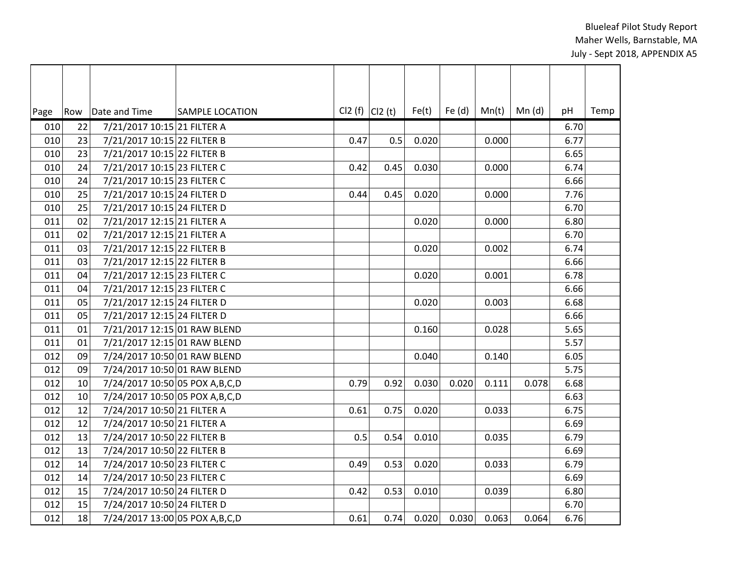| Page | Row | Date and Time                     | <b>SAMPLE LOCATION</b> | $Cl2(f)$ $Cl2(t)$ |      | Fe(t) | Fe $(d)$ | Mn(t) | Mn(d) | pH     | Temp |
|------|-----|-----------------------------------|------------------------|-------------------|------|-------|----------|-------|-------|--------|------|
| 010  | 22  | 7/21/2017 10:15 21 FILTER A       |                        |                   |      |       |          |       |       | 6.70   |      |
| 010  | 23  | 7/21/2017 10:15 22 FILTER B       |                        | 0.47              | 0.5  | 0.020 |          | 0.000 |       | 6.77   |      |
| 010  | 23  | 7/21/2017 10:15 22 FILTER B       |                        |                   |      |       |          |       |       | 6.65   |      |
| 010  | 24  | 7/21/2017 10:15 23 FILTER C       |                        | 0.42              | 0.45 | 0.030 |          | 0.000 |       | 6.74   |      |
| 010  | 24  | 7/21/2017 10:15 23 FILTER C       |                        |                   |      |       |          |       |       | 6.66   |      |
| 010  | 25  | 7/21/2017 10:15 24 FILTER D       |                        | 0.44              | 0.45 | 0.020 |          | 0.000 |       | 7.76   |      |
| 010  | 25  | 7/21/2017 10:15 24 FILTER D       |                        |                   |      |       |          |       |       | 6.70   |      |
| 011  | 02  | 7/21/2017 12:15 21 FILTER A       |                        |                   |      | 0.020 |          | 0.000 |       | 6.80   |      |
| 011  | 02  | 7/21/2017 12:15 21 FILTER A       |                        |                   |      |       |          |       |       | 6.70   |      |
| 011  | 03  | 7/21/2017 12:15 22 FILTER B       |                        |                   |      | 0.020 |          | 0.002 |       | 6.74   |      |
| 011  | 03  | 7/21/2017 12:15 22 FILTER B       |                        |                   |      |       |          |       |       | 6.66   |      |
| 011  | 04  | 7/21/2017 12:15 23 FILTER C       |                        |                   |      | 0.020 |          | 0.001 |       | 6.78   |      |
| 011  | 04  | 7/21/2017 12:15 23 FILTER C       |                        |                   |      |       |          |       |       | 6.66   |      |
| 011  | 05  | 7/21/2017 12:15 24 FILTER D       |                        |                   |      | 0.020 |          | 0.003 |       | 6.68   |      |
| 011  | 05  | 7/21/2017 12:15 24 FILTER D       |                        |                   |      |       |          |       |       | 6.66   |      |
| 011  | 01  | 7/21/2017 12:15 01 RAW BLEND      |                        |                   |      | 0.160 |          | 0.028 |       | $5.65$ |      |
| 011  | 01  | 7/21/2017 12:15 01 RAW BLEND      |                        |                   |      |       |          |       |       | 5.57   |      |
| 012  | 09  | 7/24/2017 10:50 01 RAW BLEND      |                        |                   |      | 0.040 |          | 0.140 |       | 6.05   |      |
| 012  | 09  | 7/24/2017 10:50 01 RAW BLEND      |                        |                   |      |       |          |       |       | 5.75   |      |
| 012  | 10  | 7/24/2017 10:50 05 POX A, B, C, D |                        | 0.79              | 0.92 | 0.030 | 0.020    | 0.111 | 0.078 | 6.68   |      |
| 012  | 10  | 7/24/2017 10:50 05 POX A, B, C, D |                        |                   |      |       |          |       |       | 6.63   |      |
| 012  | 12  | 7/24/2017 10:50 21 FILTER A       |                        | 0.61              | 0.75 | 0.020 |          | 0.033 |       | 6.75   |      |
| 012  | 12  | 7/24/2017 10:50 21 FILTER A       |                        |                   |      |       |          |       |       | 6.69   |      |
| 012  | 13  | 7/24/2017 10:50 22 FILTER B       |                        | 0.5               | 0.54 | 0.010 |          | 0.035 |       | 6.79   |      |
| 012  | 13  | 7/24/2017 10:50 22 FILTER B       |                        |                   |      |       |          |       |       | 6.69   |      |
| 012  | 14  | 7/24/2017 10:50 23 FILTER C       |                        | 0.49              | 0.53 | 0.020 |          | 0.033 |       | 6.79   |      |
| 012  | 14  | 7/24/2017 10:50 23 FILTER C       |                        |                   |      |       |          |       |       | 6.69   |      |
| 012  | 15  | 7/24/2017 10:50 24 FILTER D       |                        | 0.42              | 0.53 | 0.010 |          | 0.039 |       | 6.80   |      |
| 012  | 15  | 7/24/2017 10:50 24 FILTER D       |                        |                   |      |       |          |       |       | 6.70   |      |
| 012  | 18  | 7/24/2017 13:00 05 POX A, B, C, D |                        | 0.61              | 0.74 | 0.020 | 0.030    | 0.063 | 0.064 | 6.76   |      |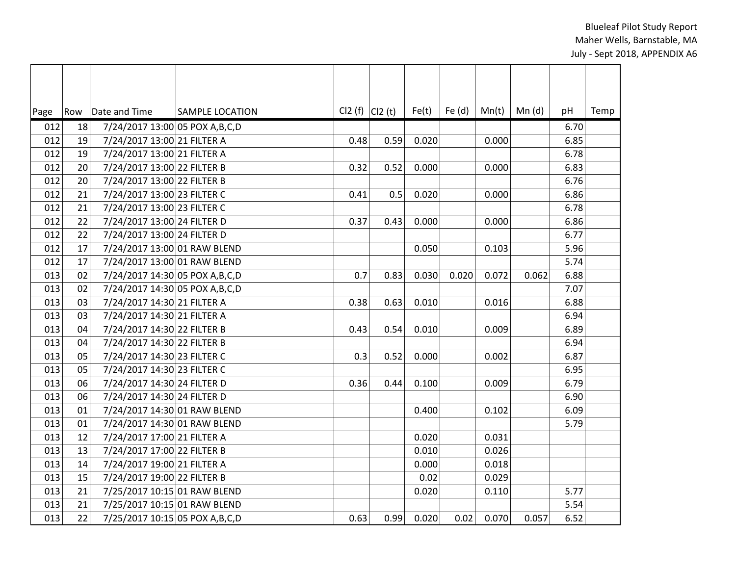| Page | Row | Date and Time                     | <b>SAMPLE LOCATION</b> | $Cl2(f)$ $Cl2(t)$ |      | Fe(t) | Fe $(d)$ | Mn(t) | Mn(d) | pH   | Temp |
|------|-----|-----------------------------------|------------------------|-------------------|------|-------|----------|-------|-------|------|------|
| 012  | 18  | 7/24/2017 13:00 05 POX A, B, C, D |                        |                   |      |       |          |       |       | 6.70 |      |
| 012  | 19  | 7/24/2017 13:00 21 FILTER A       |                        | 0.48              | 0.59 | 0.020 |          | 0.000 |       | 6.85 |      |
| 012  | 19  | 7/24/2017 13:00 21 FILTER A       |                        |                   |      |       |          |       |       | 6.78 |      |
| 012  | 20  | 7/24/2017 13:00 22 FILTER B       |                        | 0.32              | 0.52 | 0.000 |          | 0.000 |       | 6.83 |      |
| 012  | 20  | 7/24/2017 13:00 22 FILTER B       |                        |                   |      |       |          |       |       | 6.76 |      |
| 012  | 21  | 7/24/2017 13:00 23 FILTER C       |                        | 0.41              | 0.5  | 0.020 |          | 0.000 |       | 6.86 |      |
| 012  | 21  | 7/24/2017 13:00 23 FILTER C       |                        |                   |      |       |          |       |       | 6.78 |      |
| 012  | 22  | 7/24/2017 13:00 24 FILTER D       |                        | 0.37              | 0.43 | 0.000 |          | 0.000 |       | 6.86 |      |
| 012  | 22  | 7/24/2017 13:00 24 FILTER D       |                        |                   |      |       |          |       |       | 6.77 |      |
| 012  | 17  | 7/24/2017 13:00 01 RAW BLEND      |                        |                   |      | 0.050 |          | 0.103 |       | 5.96 |      |
| 012  | 17  | 7/24/2017 13:00 01 RAW BLEND      |                        |                   |      |       |          |       |       | 5.74 |      |
| 013  | 02  | 7/24/2017 14:30 05 POX A, B, C, D |                        | 0.7               | 0.83 | 0.030 | 0.020    | 0.072 | 0.062 | 6.88 |      |
| 013  | 02  | 7/24/2017 14:30 05 POX A, B, C, D |                        |                   |      |       |          |       |       | 7.07 |      |
| 013  | 03  | 7/24/2017 14:30 21 FILTER A       |                        | 0.38              | 0.63 | 0.010 |          | 0.016 |       | 6.88 |      |
| 013  | 03  | 7/24/2017 14:30 21 FILTER A       |                        |                   |      |       |          |       |       | 6.94 |      |
| 013  | 04  | 7/24/2017 14:30 22 FILTER B       |                        | 0.43              | 0.54 | 0.010 |          | 0.009 |       | 6.89 |      |
| 013  | 04  | 7/24/2017 14:30 22 FILTER B       |                        |                   |      |       |          |       |       | 6.94 |      |
| 013  | 05  | 7/24/2017 14:30 23 FILTER C       |                        | 0.3               | 0.52 | 0.000 |          | 0.002 |       | 6.87 |      |
| 013  | 05  | 7/24/2017 14:30 23 FILTER C       |                        |                   |      |       |          |       |       | 6.95 |      |
| 013  | 06  | 7/24/2017 14:30 24 FILTER D       |                        | 0.36              | 0.44 | 0.100 |          | 0.009 |       | 6.79 |      |
| 013  | 06  | 7/24/2017 14:30 24 FILTER D       |                        |                   |      |       |          |       |       | 6.90 |      |
| 013  | 01  | 7/24/2017 14:30 01 RAW BLEND      |                        |                   |      | 0.400 |          | 0.102 |       | 6.09 |      |
| 013  | 01  | 7/24/2017 14:30 01 RAW BLEND      |                        |                   |      |       |          |       |       | 5.79 |      |
| 013  | 12  | 7/24/2017 17:00 21 FILTER A       |                        |                   |      | 0.020 |          | 0.031 |       |      |      |
| 013  | 13  | 7/24/2017 17:00 22 FILTER B       |                        |                   |      | 0.010 |          | 0.026 |       |      |      |
| 013  | 14  | 7/24/2017 19:00 21 FILTER A       |                        |                   |      | 0.000 |          | 0.018 |       |      |      |
| 013  | 15  | 7/24/2017 19:00 22 FILTER B       |                        |                   |      | 0.02  |          | 0.029 |       |      |      |
| 013  | 21  | 7/25/2017 10:15 01 RAW BLEND      |                        |                   |      | 0.020 |          | 0.110 |       | 5.77 |      |
| 013  | 21  | 7/25/2017 10:15 01 RAW BLEND      |                        |                   |      |       |          |       |       | 5.54 |      |
| 013  | 22  | 7/25/2017 10:15 05 POX A, B, C, D |                        | 0.63              | 0.99 | 0.020 | 0.02     | 0.070 | 0.057 | 6.52 |      |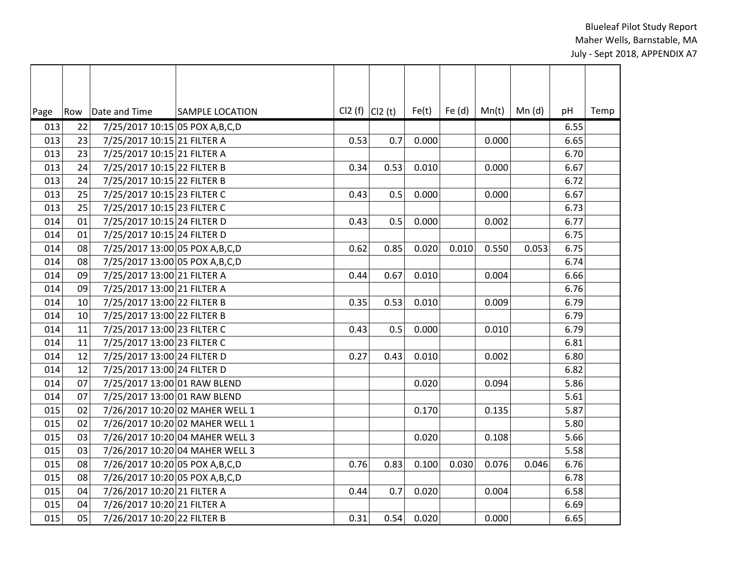| Page | Row | Date and Time                     | <b>SAMPLE LOCATION</b>          | Cl2 (f) $ C12(t) $ |      | Fe(t) | Fe $(d)$ | Mn(t) | Mn (d) | pH   | Temp |
|------|-----|-----------------------------------|---------------------------------|--------------------|------|-------|----------|-------|--------|------|------|
| 013  | 22  | 7/25/2017 10:15 05 POX A, B, C, D |                                 |                    |      |       |          |       |        | 6.55 |      |
| 013  | 23  | 7/25/2017 10:15 21 FILTER A       |                                 | 0.53               | 0.7  | 0.000 |          | 0.000 |        | 6.65 |      |
| 013  | 23  | 7/25/2017 10:15 21 FILTER A       |                                 |                    |      |       |          |       |        | 6.70 |      |
| 013  | 24  | 7/25/2017 10:15 22 FILTER B       |                                 | 0.34               | 0.53 | 0.010 |          | 0.000 |        | 6.67 |      |
| 013  | 24  | 7/25/2017 10:15 22 FILTER B       |                                 |                    |      |       |          |       |        | 6.72 |      |
| 013  | 25  | 7/25/2017 10:15 23 FILTER C       |                                 | 0.43               | 0.5  | 0.000 |          | 0.000 |        | 6.67 |      |
| 013  | 25  | 7/25/2017 10:15 23 FILTER C       |                                 |                    |      |       |          |       |        | 6.73 |      |
| 014  | 01  | 7/25/2017 10:15 24 FILTER D       |                                 | 0.43               | 0.5  | 0.000 |          | 0.002 |        | 6.77 |      |
| 014  | 01  | 7/25/2017 10:15 24 FILTER D       |                                 |                    |      |       |          |       |        | 6.75 |      |
| 014  | 08  | 7/25/2017 13:00 05 POX A, B, C, D |                                 | 0.62               | 0.85 | 0.020 | 0.010    | 0.550 | 0.053  | 6.75 |      |
| 014  | 08  | 7/25/2017 13:00 05 POX A, B, C, D |                                 |                    |      |       |          |       |        | 6.74 |      |
| 014  | 09  | 7/25/2017 13:00 21 FILTER A       |                                 | 0.44               | 0.67 | 0.010 |          | 0.004 |        | 6.66 |      |
| 014  | 09  | 7/25/2017 13:00 21 FILTER A       |                                 |                    |      |       |          |       |        | 6.76 |      |
| 014  | 10  | 7/25/2017 13:00 22 FILTER B       |                                 | 0.35               | 0.53 | 0.010 |          | 0.009 |        | 6.79 |      |
| 014  | 10  | 7/25/2017 13:00 22 FILTER B       |                                 |                    |      |       |          |       |        | 6.79 |      |
| 014  | 11  | 7/25/2017 13:00 23 FILTER C       |                                 | 0.43               | 0.5  | 0.000 |          | 0.010 |        | 6.79 |      |
| 014  | 11  | 7/25/2017 13:00 23 FILTER C       |                                 |                    |      |       |          |       |        | 6.81 |      |
| 014  | 12  | 7/25/2017 13:00 24 FILTER D       |                                 | 0.27               | 0.43 | 0.010 |          | 0.002 |        | 6.80 |      |
| 014  | 12  | 7/25/2017 13:00 24 FILTER D       |                                 |                    |      |       |          |       |        | 6.82 |      |
| 014  | 07  | 7/25/2017 13:00 01 RAW BLEND      |                                 |                    |      | 0.020 |          | 0.094 |        | 5.86 |      |
| 014  | 07  | 7/25/2017 13:00 01 RAW BLEND      |                                 |                    |      |       |          |       |        | 5.61 |      |
| 015  | 02  |                                   | 7/26/2017 10:20 02 MAHER WELL 1 |                    |      | 0.170 |          | 0.135 |        | 5.87 |      |
| 015  | 02  |                                   | 7/26/2017 10:20 02 MAHER WELL 1 |                    |      |       |          |       |        | 5.80 |      |
| 015  | 03  |                                   | 7/26/2017 10:20 04 MAHER WELL 3 |                    |      | 0.020 |          | 0.108 |        | 5.66 |      |
| 015  | 03  |                                   | 7/26/2017 10:20 04 MAHER WELL 3 |                    |      |       |          |       |        | 5.58 |      |
| 015  | 08  | 7/26/2017 10:20 05 POX A, B, C, D |                                 | 0.76               | 0.83 | 0.100 | 0.030    | 0.076 | 0.046  | 6.76 |      |
| 015  | 08  | 7/26/2017 10:20 05 POX A, B, C, D |                                 |                    |      |       |          |       |        | 6.78 |      |
| 015  | 04  | 7/26/2017 10:20 21 FILTER A       |                                 | 0.44               | 0.7  | 0.020 |          | 0.004 |        | 6.58 |      |
| 015  | 04  | 7/26/2017 10:20 21 FILTER A       |                                 |                    |      |       |          |       |        | 6.69 |      |
| 015  | 05  | 7/26/2017 10:20 22 FILTER B       |                                 | 0.31               | 0.54 | 0.020 |          | 0.000 |        | 6.65 |      |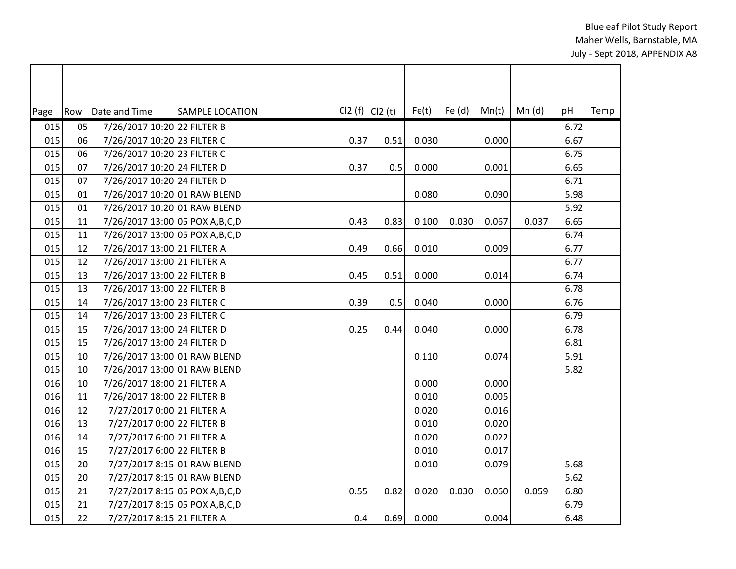| Page | Row             | Date and Time                     | <b>SAMPLE LOCATION</b> | $Cl2(f)$ $Cl2(t)$ |      | Fe(t) | Fe $(d)$ | Mn(t) | Mn (d) | pH   | Temp |
|------|-----------------|-----------------------------------|------------------------|-------------------|------|-------|----------|-------|--------|------|------|
| 015  | 05              | 7/26/2017 10:20 22 FILTER B       |                        |                   |      |       |          |       |        | 6.72 |      |
| 015  | 06              | 7/26/2017 10:20 23 FILTER C       |                        | 0.37              | 0.51 | 0.030 |          | 0.000 |        | 6.67 |      |
| 015  | 06              | 7/26/2017 10:20 23 FILTER C       |                        |                   |      |       |          |       |        | 6.75 |      |
| 015  | 07              | 7/26/2017 10:20 24 FILTER D       |                        | 0.37              | 0.5  | 0.000 |          | 0.001 |        | 6.65 |      |
| 015  | 07              | 7/26/2017 10:20 24 FILTER D       |                        |                   |      |       |          |       |        | 6.71 |      |
| 015  | 01              | 7/26/2017 10:20 01 RAW BLEND      |                        |                   |      | 0.080 |          | 0.090 |        | 5.98 |      |
| 015  | 01              | 7/26/2017 10:20 01 RAW BLEND      |                        |                   |      |       |          |       |        | 5.92 |      |
| 015  | 11              | 7/26/2017 13:00 05 POX A, B, C, D |                        | 0.43              | 0.83 | 0.100 | 0.030    | 0.067 | 0.037  | 6.65 |      |
| 015  | 11              | 7/26/2017 13:00 05 POX A, B, C, D |                        |                   |      |       |          |       |        | 6.74 |      |
| 015  | 12              | 7/26/2017 13:00 21 FILTER A       |                        | 0.49              | 0.66 | 0.010 |          | 0.009 |        | 6.77 |      |
| 015  | 12              | 7/26/2017 13:00 21 FILTER A       |                        |                   |      |       |          |       |        | 6.77 |      |
| 015  | 13              | 7/26/2017 13:00 22 FILTER B       |                        | 0.45              | 0.51 | 0.000 |          | 0.014 |        | 6.74 |      |
| 015  | 13              | 7/26/2017 13:00 22 FILTER B       |                        |                   |      |       |          |       |        | 6.78 |      |
| 015  | 14              | 7/26/2017 13:00 23 FILTER C       |                        | 0.39              | 0.5  | 0.040 |          | 0.000 |        | 6.76 |      |
| 015  | 14              | 7/26/2017 13:00 23 FILTER C       |                        |                   |      |       |          |       |        | 6.79 |      |
| 015  | 15              | 7/26/2017 13:00 24 FILTER D       |                        | 0.25              | 0.44 | 0.040 |          | 0.000 |        | 6.78 |      |
| 015  | 15              | 7/26/2017 13:00 24 FILTER D       |                        |                   |      |       |          |       |        | 6.81 |      |
| 015  | 10              | 7/26/2017 13:00 01 RAW BLEND      |                        |                   |      | 0.110 |          | 0.074 |        | 5.91 |      |
| 015  | 10              | 7/26/2017 13:00 01 RAW BLEND      |                        |                   |      |       |          |       |        | 5.82 |      |
| 016  | 10              | 7/26/2017 18:00 21 FILTER A       |                        |                   |      | 0.000 |          | 0.000 |        |      |      |
| 016  | 11              | 7/26/2017 18:00 22 FILTER B       |                        |                   |      | 0.010 |          | 0.005 |        |      |      |
| 016  | 12              | 7/27/2017 0:00 21 FILTER A        |                        |                   |      | 0.020 |          | 0.016 |        |      |      |
| 016  | 13              | 7/27/2017 0:00 22 FILTER B        |                        |                   |      | 0.010 |          | 0.020 |        |      |      |
| 016  | 14              | 7/27/2017 6:00 21 FILTER A        |                        |                   |      | 0.020 |          | 0.022 |        |      |      |
| 016  | 15              | 7/27/2017 6:00 22 FILTER B        |                        |                   |      | 0.010 |          | 0.017 |        |      |      |
| 015  | 20 <sup>°</sup> | 7/27/2017 8:15 01 RAW BLEND       |                        |                   |      | 0.010 |          | 0.079 |        | 5.68 |      |
| 015  | 20              | 7/27/2017 8:15 01 RAW BLEND       |                        |                   |      |       |          |       |        | 5.62 |      |
| 015  | 21              | 7/27/2017 8:15 05 POX A, B, C, D  |                        | 0.55              | 0.82 | 0.020 | 0.030    | 0.060 | 0.059  | 6.80 |      |
| 015  | 21              | 7/27/2017 8:15 05 POX A, B, C, D  |                        |                   |      |       |          |       |        | 6.79 |      |
| 015  | 22              | 7/27/2017 8:15 21 FILTER A        |                        | 0.4               | 0.69 | 0.000 |          | 0.004 |        | 6.48 |      |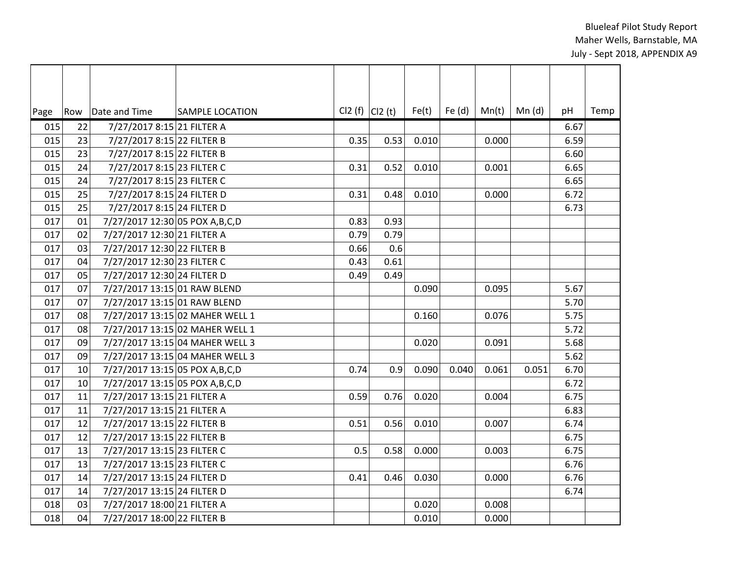| Page | Row | Date and Time                     | <b>SAMPLE LOCATION</b>          |      | $Cl2(f)$ $Cl2(t)$ | Fe(t) | Fe $(d)$ | Mn(t) | Mn(d) | pH     | Temp |
|------|-----|-----------------------------------|---------------------------------|------|-------------------|-------|----------|-------|-------|--------|------|
| 015  | 22  | 7/27/2017 8:15 21 FILTER A        |                                 |      |                   |       |          |       |       | 6.67   |      |
| 015  | 23  | 7/27/2017 8:15 22 FILTER B        |                                 | 0.35 | 0.53              | 0.010 |          | 0.000 |       | 6.59   |      |
| 015  | 23  | 7/27/2017 8:15 22 FILTER B        |                                 |      |                   |       |          |       |       | 6.60   |      |
| 015  | 24  | 7/27/2017 8:15 23 FILTER C        |                                 | 0.31 | 0.52              | 0.010 |          | 0.001 |       | 6.65   |      |
| 015  | 24  | 7/27/2017 8:15 23 FILTER C        |                                 |      |                   |       |          |       |       | 6.65   |      |
| 015  | 25  | 7/27/2017 8:15 24 FILTER D        |                                 | 0.31 | 0.48              | 0.010 |          | 0.000 |       | 6.72   |      |
| 015  | 25  | 7/27/2017 8:15 24 FILTER D        |                                 |      |                   |       |          |       |       | 6.73   |      |
| 017  | 01  | 7/27/2017 12:30 05 POX A, B, C, D |                                 | 0.83 | 0.93              |       |          |       |       |        |      |
| 017  | 02  | 7/27/2017 12:30 21 FILTER A       |                                 | 0.79 | 0.79              |       |          |       |       |        |      |
| 017  | 03  | 7/27/2017 12:30 22 FILTER B       |                                 | 0.66 | 0.6               |       |          |       |       |        |      |
| 017  | 04  | 7/27/2017 12:30 23 FILTER C       |                                 | 0.43 | 0.61              |       |          |       |       |        |      |
| 017  | 05  | 7/27/2017 12:30 24 FILTER D       |                                 | 0.49 | 0.49              |       |          |       |       |        |      |
| 017  | 07  | 7/27/2017 13:15 01 RAW BLEND      |                                 |      |                   | 0.090 |          | 0.095 |       | 5.67   |      |
| 017  | 07  | 7/27/2017 13:15 01 RAW BLEND      |                                 |      |                   |       |          |       |       | 5.70   |      |
| 017  | 08  |                                   | 7/27/2017 13:15 02 MAHER WELL 1 |      |                   | 0.160 |          | 0.076 |       | 5.75   |      |
| 017  | 08  |                                   | 7/27/2017 13:15 02 MAHER WELL 1 |      |                   |       |          |       |       | 5.72   |      |
| 017  | 09  |                                   | 7/27/2017 13:15 04 MAHER WELL 3 |      |                   | 0.020 |          | 0.091 |       | 5.68   |      |
| 017  | 09  |                                   | 7/27/2017 13:15 04 MAHER WELL 3 |      |                   |       |          |       |       | $5.62$ |      |
| 017  | 10  | 7/27/2017 13:15 05 POX A, B, C, D |                                 | 0.74 | 0.9               | 0.090 | 0.040    | 0.061 | 0.051 | 6.70   |      |
| 017  | 10  | 7/27/2017 13:15 05 POX A, B, C, D |                                 |      |                   |       |          |       |       | 6.72   |      |
| 017  | 11  | 7/27/2017 13:15 21 FILTER A       |                                 | 0.59 | 0.76              | 0.020 |          | 0.004 |       | 6.75   |      |
| 017  | 11  | 7/27/2017 13:15 21 FILTER A       |                                 |      |                   |       |          |       |       | 6.83   |      |
| 017  | 12  | 7/27/2017 13:15 22 FILTER B       |                                 | 0.51 | 0.56              | 0.010 |          | 0.007 |       | 6.74   |      |
| 017  | 12  | 7/27/2017 13:15 22 FILTER B       |                                 |      |                   |       |          |       |       | 6.75   |      |
| 017  | 13  | 7/27/2017 13:15 23 FILTER C       |                                 | 0.5  | 0.58              | 0.000 |          | 0.003 |       | 6.75   |      |
| 017  | 13  | 7/27/2017 13:15 23 FILTER C       |                                 |      |                   |       |          |       |       | 6.76   |      |
| 017  | 14  | 7/27/2017 13:15 24 FILTER D       |                                 | 0.41 | 0.46              | 0.030 |          | 0.000 |       | 6.76   |      |
| 017  | 14  | 7/27/2017 13:15 24 FILTER D       |                                 |      |                   |       |          |       |       | 6.74   |      |
| 018  | 03  | 7/27/2017 18:00 21 FILTER A       |                                 |      |                   | 0.020 |          | 0.008 |       |        |      |
| 018  | 04  | 7/27/2017 18:00 22 FILTER B       |                                 |      |                   | 0.010 |          | 0.000 |       |        |      |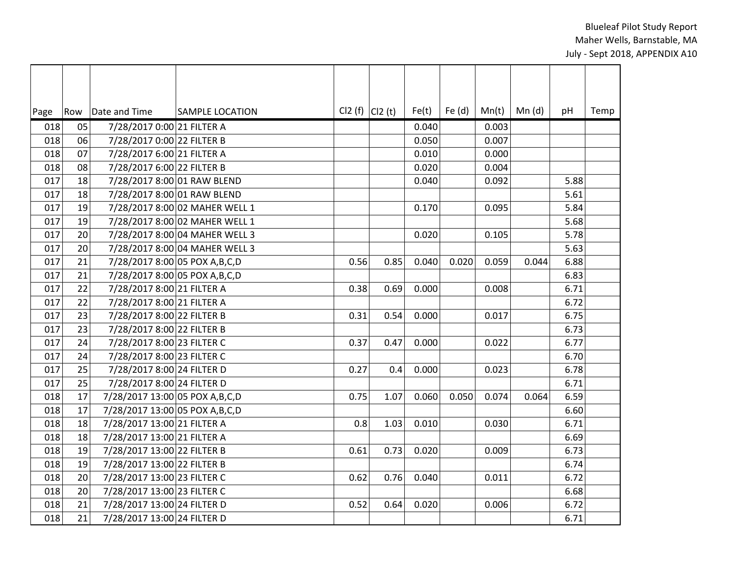| Page | Row | Date and Time                     | <b>SAMPLE LOCATION</b>         | $Cl2(f)$ $Cl2(t)$ |      | Fe(t) | Fe $(d)$ | Mn(t) | Mn(d) | pH   | Temp |
|------|-----|-----------------------------------|--------------------------------|-------------------|------|-------|----------|-------|-------|------|------|
| 018  | 05  | 7/28/2017 0:00 21 FILTER A        |                                |                   |      | 0.040 |          | 0.003 |       |      |      |
| 018  | 06  | 7/28/2017 0:00 22 FILTER B        |                                |                   |      | 0.050 |          | 0.007 |       |      |      |
| 018  | 07  | 7/28/2017 6:00 21 FILTER A        |                                |                   |      | 0.010 |          | 0.000 |       |      |      |
| 018  | 08  | 7/28/2017 6:00 22 FILTER B        |                                |                   |      | 0.020 |          | 0.004 |       |      |      |
| 017  | 18  | 7/28/2017 8:00 01 RAW BLEND       |                                |                   |      | 0.040 |          | 0.092 |       | 5.88 |      |
| 017  | 18  | 7/28/2017 8:00 01 RAW BLEND       |                                |                   |      |       |          |       |       | 5.61 |      |
| 017  | 19  |                                   | 7/28/2017 8:00 02 MAHER WELL 1 |                   |      | 0.170 |          | 0.095 |       | 5.84 |      |
| 017  | 19  |                                   | 7/28/2017 8:00 02 MAHER WELL 1 |                   |      |       |          |       |       | 5.68 |      |
| 017  | 20  |                                   | 7/28/2017 8:00 04 MAHER WELL 3 |                   |      | 0.020 |          | 0.105 |       | 5.78 |      |
| 017  | 20  |                                   | 7/28/2017 8:00 04 MAHER WELL 3 |                   |      |       |          |       |       | 5.63 |      |
| 017  | 21  | 7/28/2017 8:00 05 POX A, B, C, D  |                                | 0.56              | 0.85 | 0.040 | 0.020    | 0.059 | 0.044 | 6.88 |      |
| 017  | 21  | 7/28/2017 8:00 05 POX A, B, C, D  |                                |                   |      |       |          |       |       | 6.83 |      |
| 017  | 22  | 7/28/2017 8:00 21 FILTER A        |                                | 0.38              | 0.69 | 0.000 |          | 0.008 |       | 6.71 |      |
| 017  | 22  | 7/28/2017 8:00 21 FILTER A        |                                |                   |      |       |          |       |       | 6.72 |      |
| 017  | 23  | 7/28/2017 8:00 22 FILTER B        |                                | 0.31              | 0.54 | 0.000 |          | 0.017 |       | 6.75 |      |
| 017  | 23  | 7/28/2017 8:00 22 FILTER B        |                                |                   |      |       |          |       |       | 6.73 |      |
| 017  | 24  | 7/28/2017 8:00 23 FILTER C        |                                | 0.37              | 0.47 | 0.000 |          | 0.022 |       | 6.77 |      |
| 017  | 24  | 7/28/2017 8:00 23 FILTER C        |                                |                   |      |       |          |       |       | 6.70 |      |
| 017  | 25  | 7/28/2017 8:00 24 FILTER D        |                                | 0.27              | 0.4  | 0.000 |          | 0.023 |       | 6.78 |      |
| 017  | 25  | 7/28/2017 8:00 24 FILTER D        |                                |                   |      |       |          |       |       | 6.71 |      |
| 018  | 17  | 7/28/2017 13:00 05 POX A, B, C, D |                                | 0.75              | 1.07 | 0.060 | 0.050    | 0.074 | 0.064 | 6.59 |      |
| 018  | 17  | 7/28/2017 13:00 05 POX A, B, C, D |                                |                   |      |       |          |       |       | 6.60 |      |
| 018  | 18  | 7/28/2017 13:00 21 FILTER A       |                                | 0.8               | 1.03 | 0.010 |          | 0.030 |       | 6.71 |      |
| 018  | 18  | 7/28/2017 13:00 21 FILTER A       |                                |                   |      |       |          |       |       | 6.69 |      |
| 018  | 19  | 7/28/2017 13:00 22 FILTER B       |                                | 0.61              | 0.73 | 0.020 |          | 0.009 |       | 6.73 |      |
| 018  | 19  | 7/28/2017 13:00 22 FILTER B       |                                |                   |      |       |          |       |       | 6.74 |      |
| 018  | 20  | 7/28/2017 13:00 23 FILTER C       |                                | 0.62              | 0.76 | 0.040 |          | 0.011 |       | 6.72 |      |
| 018  | 20  | 7/28/2017 13:00 23 FILTER C       |                                |                   |      |       |          |       |       | 6.68 |      |
| 018  | 21  | 7/28/2017 13:00 24 FILTER D       |                                | 0.52              | 0.64 | 0.020 |          | 0.006 |       | 6.72 |      |
| 018  | 21  | 7/28/2017 13:00 24 FILTER D       |                                |                   |      |       |          |       |       | 6.71 |      |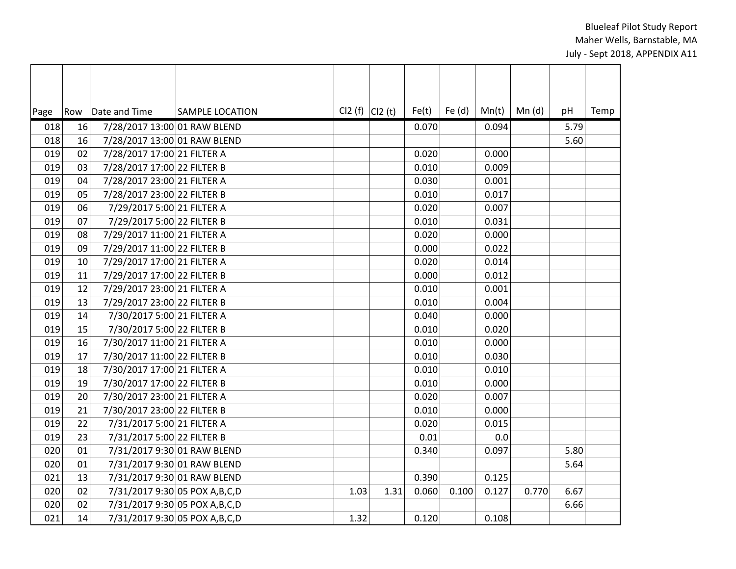| Page | Row | Date and Time                | <b>SAMPLE LOCATION</b>           | $Cl2(f)$ $Cl2(t)$ |      | Fe(t) | Fe $(d)$ | Mn(t) | Mn (d) | pH   | Temp |
|------|-----|------------------------------|----------------------------------|-------------------|------|-------|----------|-------|--------|------|------|
| 018  | 16  | 7/28/2017 13:00 01 RAW BLEND |                                  |                   |      | 0.070 |          | 0.094 |        | 5.79 |      |
| 018  | 16  | 7/28/2017 13:00 01 RAW BLEND |                                  |                   |      |       |          |       |        | 5.60 |      |
| 019  | 02  | 7/28/2017 17:00 21 FILTER A  |                                  |                   |      | 0.020 |          | 0.000 |        |      |      |
| 019  | 03  | 7/28/2017 17:00 22 FILTER B  |                                  |                   |      | 0.010 |          | 0.009 |        |      |      |
| 019  | 04  | 7/28/2017 23:00 21 FILTER A  |                                  |                   |      | 0.030 |          | 0.001 |        |      |      |
| 019  | 05  | 7/28/2017 23:00 22 FILTER B  |                                  |                   |      | 0.010 |          | 0.017 |        |      |      |
| 019  | 06  | 7/29/2017 5:00 21 FILTER A   |                                  |                   |      | 0.020 |          | 0.007 |        |      |      |
| 019  | 07  | 7/29/2017 5:00 22 FILTER B   |                                  |                   |      | 0.010 |          | 0.031 |        |      |      |
| 019  | 08  | 7/29/2017 11:00 21 FILTER A  |                                  |                   |      | 0.020 |          | 0.000 |        |      |      |
| 019  | 09  | 7/29/2017 11:00 22 FILTER B  |                                  |                   |      | 0.000 |          | 0.022 |        |      |      |
| 019  | 10  | 7/29/2017 17:00 21 FILTER A  |                                  |                   |      | 0.020 |          | 0.014 |        |      |      |
| 019  | 11  | 7/29/2017 17:00 22 FILTER B  |                                  |                   |      | 0.000 |          | 0.012 |        |      |      |
| 019  | 12  | 7/29/2017 23:00 21 FILTER A  |                                  |                   |      | 0.010 |          | 0.001 |        |      |      |
| 019  | 13  | 7/29/2017 23:00 22 FILTER B  |                                  |                   |      | 0.010 |          | 0.004 |        |      |      |
| 019  | 14  | 7/30/2017 5:00 21 FILTER A   |                                  |                   |      | 0.040 |          | 0.000 |        |      |      |
| 019  | 15  | 7/30/2017 5:00 22 FILTER B   |                                  |                   |      | 0.010 |          | 0.020 |        |      |      |
| 019  | 16  | 7/30/2017 11:00 21 FILTER A  |                                  |                   |      | 0.010 |          | 0.000 |        |      |      |
| 019  | 17  | 7/30/2017 11:00 22 FILTER B  |                                  |                   |      | 0.010 |          | 0.030 |        |      |      |
| 019  | 18  | 7/30/2017 17:00 21 FILTER A  |                                  |                   |      | 0.010 |          | 0.010 |        |      |      |
| 019  | 19  | 7/30/2017 17:00 22 FILTER B  |                                  |                   |      | 0.010 |          | 0.000 |        |      |      |
| 019  | 20  | 7/30/2017 23:00 21 FILTER A  |                                  |                   |      | 0.020 |          | 0.007 |        |      |      |
| 019  | 21  | 7/30/2017 23:00 22 FILTER B  |                                  |                   |      | 0.010 |          | 0.000 |        |      |      |
| 019  | 22  | 7/31/2017 5:00 21 FILTER A   |                                  |                   |      | 0.020 |          | 0.015 |        |      |      |
| 019  | 23  | 7/31/2017 5:00 22 FILTER B   |                                  |                   |      | 0.01  |          | 0.0   |        |      |      |
| 020  | 01  |                              | 7/31/2017 9:30 01 RAW BLEND      |                   |      | 0.340 |          | 0.097 |        | 5.80 |      |
| 020  | 01  |                              | 7/31/2017 9:30 01 RAW BLEND      |                   |      |       |          |       |        | 5.64 |      |
| 021  | 13  | 7/31/2017 9:30 01 RAW BLEND  |                                  |                   |      | 0.390 |          | 0.125 |        |      |      |
| 020  | 02  |                              | 7/31/2017 9:30 05 POX A, B, C, D | 1.03              | 1.31 | 0.060 | 0.100    | 0.127 | 0.770  | 6.67 |      |
| 020  | 02  |                              | 7/31/2017 9:30 05 POX A, B, C, D |                   |      |       |          |       |        | 6.66 |      |
| 021  | 14  |                              | 7/31/2017 9:30 05 POX A, B, C, D | 1.32              |      | 0.120 |          | 0.108 |        |      |      |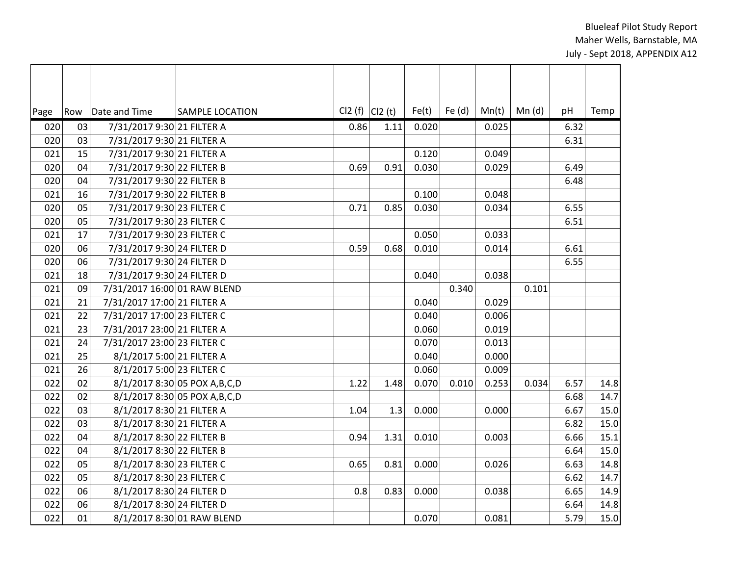| Page | Row | Date and Time                | <b>SAMPLE LOCATION</b>          | $Cl2(f)$ $Cl2(t)$ |      | Fe(t) | Fe $(d)$ | Mn(t) | Mn(d) | pH   | Temp |
|------|-----|------------------------------|---------------------------------|-------------------|------|-------|----------|-------|-------|------|------|
| 020  | 03  | 7/31/2017 9:30 21 FILTER A   |                                 | 0.86              | 1.11 | 0.020 |          | 0.025 |       | 6.32 |      |
| 020  | 03  | 7/31/2017 9:30 21 FILTER A   |                                 |                   |      |       |          |       |       | 6.31 |      |
| 021  | 15  | 7/31/2017 9:30 21 FILTER A   |                                 |                   |      | 0.120 |          | 0.049 |       |      |      |
| 020  | 04  | 7/31/2017 9:30 22 FILTER B   |                                 | 0.69              | 0.91 | 0.030 |          | 0.029 |       | 6.49 |      |
| 020  | 04  | 7/31/2017 9:30 22 FILTER B   |                                 |                   |      |       |          |       |       | 6.48 |      |
| 021  | 16  | 7/31/2017 9:30 22 FILTER B   |                                 |                   |      | 0.100 |          | 0.048 |       |      |      |
| 020  | 05  | 7/31/2017 9:30 23 FILTER C   |                                 | 0.71              | 0.85 | 0.030 |          | 0.034 |       | 6.55 |      |
| 020  | 05  | 7/31/2017 9:30 23 FILTER C   |                                 |                   |      |       |          |       |       | 6.51 |      |
| 021  | 17  | 7/31/2017 9:30 23 FILTER C   |                                 |                   |      | 0.050 |          | 0.033 |       |      |      |
| 020  | 06  | 7/31/2017 9:30 24 FILTER D   |                                 | 0.59              | 0.68 | 0.010 |          | 0.014 |       | 6.61 |      |
| 020  | 06  | 7/31/2017 9:30 24 FILTER D   |                                 |                   |      |       |          |       |       | 6.55 |      |
| 021  | 18  | 7/31/2017 9:30 24 FILTER D   |                                 |                   |      | 0.040 |          | 0.038 |       |      |      |
| 021  | 09  | 7/31/2017 16:00 01 RAW BLEND |                                 |                   |      |       | 0.340    |       | 0.101 |      |      |
| 021  | 21  | 7/31/2017 17:00 21 FILTER A  |                                 |                   |      | 0.040 |          | 0.029 |       |      |      |
| 021  | 22  | 7/31/2017 17:00 23 FILTER C  |                                 |                   |      | 0.040 |          | 0.006 |       |      |      |
| 021  | 23  | 7/31/2017 23:00 21 FILTER A  |                                 |                   |      | 0.060 |          | 0.019 |       |      |      |
| 021  | 24  | 7/31/2017 23:00 23 FILTER C  |                                 |                   |      | 0.070 |          | 0.013 |       |      |      |
| 021  | 25  | 8/1/2017 5:00 21 FILTER A    |                                 |                   |      | 0.040 |          | 0.000 |       |      |      |
| 021  | 26  | 8/1/2017 5:00 23 FILTER C    |                                 |                   |      | 0.060 |          | 0.009 |       |      |      |
| 022  | 02  |                              | 8/1/2017 8:30 05 POX A, B, C, D | 1.22              | 1.48 | 0.070 | 0.010    | 0.253 | 0.034 | 6.57 | 14.8 |
| 022  | 02  |                              | 8/1/2017 8:30 05 POX A, B, C, D |                   |      |       |          |       |       | 6.68 | 14.7 |
| 022  | 03  | 8/1/2017 8:30 21 FILTER A    |                                 | 1.04              | 1.3  | 0.000 |          | 0.000 |       | 6.67 | 15.0 |
| 022  | 03  | 8/1/2017 8:30 21 FILTER A    |                                 |                   |      |       |          |       |       | 6.82 | 15.0 |
| 022  | 04  | 8/1/2017 8:30 22 FILTER B    |                                 | 0.94              | 1.31 | 0.010 |          | 0.003 |       | 6.66 | 15.1 |
| 022  | 04  | 8/1/2017 8:30 22 FILTER B    |                                 |                   |      |       |          |       |       | 6.64 | 15.0 |
| 022  | 05  | 8/1/2017 8:30 23 FILTER C    |                                 | 0.65              | 0.81 | 0.000 |          | 0.026 |       | 6.63 | 14.8 |
| 022  | 05  | 8/1/2017 8:30 23 FILTER C    |                                 |                   |      |       |          |       |       | 6.62 | 14.7 |
| 022  | 06  | 8/1/2017 8:30 24 FILTER D    |                                 | 0.8               | 0.83 | 0.000 |          | 0.038 |       | 6.65 | 14.9 |
| 022  | 06  | 8/1/2017 8:30 24 FILTER D    |                                 |                   |      |       |          |       |       | 6.64 | 14.8 |
| 022  | 01  |                              | 8/1/2017 8:30 01 RAW BLEND      |                   |      | 0.070 |          | 0.081 |       | 5.79 | 15.0 |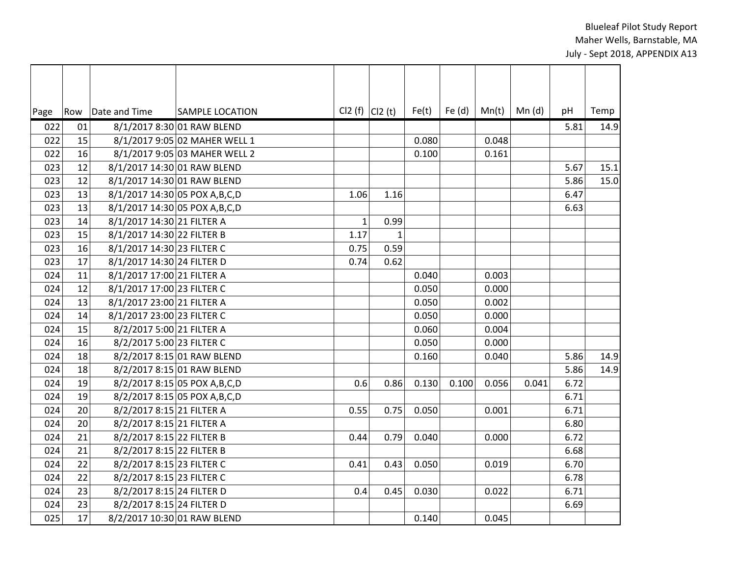$\blacksquare$ 

| Page | Row | Date and Time                    | <b>SAMPLE LOCATION</b>          | Cl2 (f) $ C12(t) $ |              | Fe(t) | Fe (d) | Mn(t) | Mn(d) | pH   | Temp |
|------|-----|----------------------------------|---------------------------------|--------------------|--------------|-------|--------|-------|-------|------|------|
| 022  | 01  |                                  | 8/1/2017 8:30 01 RAW BLEND      |                    |              |       |        |       |       | 5.81 | 14.9 |
| 022  | 15  |                                  | 8/1/2017 9:05 02 MAHER WELL 1   |                    |              | 0.080 |        | 0.048 |       |      |      |
| 022  | 16  |                                  | 8/1/2017 9:05 03 MAHER WELL 2   |                    |              | 0.100 |        | 0.161 |       |      |      |
| 023  | 12  | 8/1/2017 14:30 01 RAW BLEND      |                                 |                    |              |       |        |       |       | 5.67 | 15.1 |
| 023  | 12  | 8/1/2017 14:30 01 RAW BLEND      |                                 |                    |              |       |        |       |       | 5.86 | 15.0 |
| 023  | 13  | 8/1/2017 14:30 05 POX A, B, C, D |                                 | 1.06               | 1.16         |       |        |       |       | 6.47 |      |
| 023  | 13  | 8/1/2017 14:30 05 POX A, B, C, D |                                 |                    |              |       |        |       |       | 6.63 |      |
| 023  | 14  | 8/1/2017 14:30 21 FILTER A       |                                 | $\mathbf{1}$       | 0.99         |       |        |       |       |      |      |
| 023  | 15  | 8/1/2017 14:30 22 FILTER B       |                                 | 1.17               | $\mathbf{1}$ |       |        |       |       |      |      |
| 023  | 16  | 8/1/2017 14:30 23 FILTER C       |                                 | 0.75               | 0.59         |       |        |       |       |      |      |
| 023  | 17  | 8/1/2017 14:30 24 FILTER D       |                                 | 0.74               | 0.62         |       |        |       |       |      |      |
| 024  | 11  | 8/1/2017 17:00 21 FILTER A       |                                 |                    |              | 0.040 |        | 0.003 |       |      |      |
| 024  | 12  | 8/1/2017 17:00 23 FILTER C       |                                 |                    |              | 0.050 |        | 0.000 |       |      |      |
| 024  | 13  | 8/1/2017 23:00 21 FILTER A       |                                 |                    |              | 0.050 |        | 0.002 |       |      |      |
| 024  | 14  | 8/1/2017 23:00 23 FILTER C       |                                 |                    |              | 0.050 |        | 0.000 |       |      |      |
| 024  | 15  | 8/2/2017 5:00 21 FILTER A        |                                 |                    |              | 0.060 |        | 0.004 |       |      |      |
| 024  | 16  | 8/2/2017 5:00 23 FILTER C        |                                 |                    |              | 0.050 |        | 0.000 |       |      |      |
| 024  | 18  |                                  | 8/2/2017 8:15 01 RAW BLEND      |                    |              | 0.160 |        | 0.040 |       | 5.86 | 14.9 |
| 024  | 18  |                                  | 8/2/2017 8:15 01 RAW BLEND      |                    |              |       |        |       |       | 5.86 | 14.9 |
| 024  | 19  |                                  | 8/2/2017 8:15 05 POX A, B, C, D | 0.6                | 0.86         | 0.130 | 0.100  | 0.056 | 0.041 | 6.72 |      |
| 024  | 19  |                                  | 8/2/2017 8:15 05 POX A, B, C, D |                    |              |       |        |       |       | 6.71 |      |
| 024  | 20  | 8/2/2017 8:15 21 FILTER A        |                                 | 0.55               | 0.75         | 0.050 |        | 0.001 |       | 6.71 |      |
| 024  | 20  | 8/2/2017 8:15 21 FILTER A        |                                 |                    |              |       |        |       |       | 6.80 |      |
| 024  | 21  | 8/2/2017 8:15 22 FILTER B        |                                 | 0.44               | 0.79         | 0.040 |        | 0.000 |       | 6.72 |      |
| 024  | 21  | 8/2/2017 8:15 22 FILTER B        |                                 |                    |              |       |        |       |       | 6.68 |      |
| 024  | 22  | 8/2/2017 8:15 23 FILTER C        |                                 | 0.41               | 0.43         | 0.050 |        | 0.019 |       | 6.70 |      |
| 024  | 22  | 8/2/2017 8:15 23 FILTER C        |                                 |                    |              |       |        |       |       | 6.78 |      |
| 024  | 23  | 8/2/2017 8:15 24 FILTER D        |                                 | 0.4                | 0.45         | 0.030 |        | 0.022 |       | 6.71 |      |
| 024  | 23  | 8/2/2017 8:15 24 FILTER D        |                                 |                    |              |       |        |       |       | 6.69 |      |
| 025  | 17  | 8/2/2017 10:30 01 RAW BLEND      |                                 |                    |              | 0.140 |        | 0.045 |       |      |      |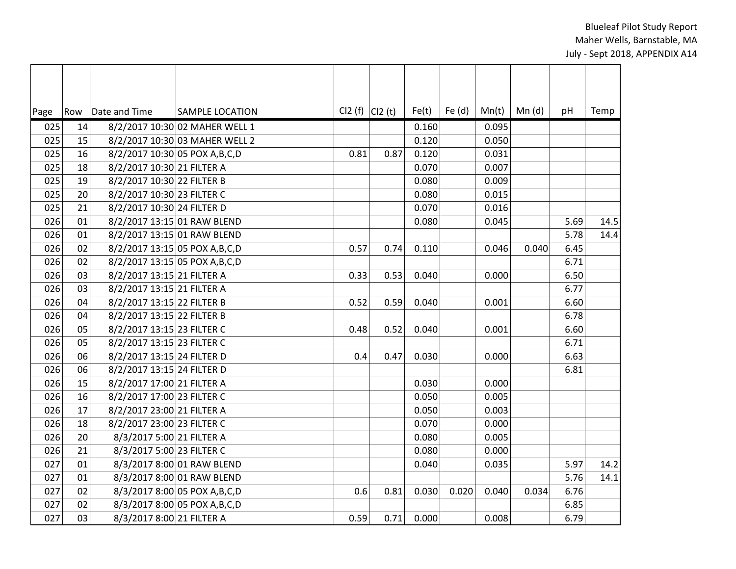| Page | Row | Date and Time                    | <b>SAMPLE LOCATION</b>           | $Cl2(f)$ $Cl2(t)$ |      | Fe(t) | Fe $(d)$ | Mn(t) | Mn(d) | pH   | Temp |
|------|-----|----------------------------------|----------------------------------|-------------------|------|-------|----------|-------|-------|------|------|
| 025  | 14  |                                  | 8/2/2017 10:30 02 MAHER WELL 1   |                   |      | 0.160 |          | 0.095 |       |      |      |
| 025  | 15  |                                  | 8/2/2017 10:30 03 MAHER WELL 2   |                   |      | 0.120 |          | 0.050 |       |      |      |
| 025  | 16  |                                  | 8/2/2017 10:30 05 POX A, B, C, D | 0.81              | 0.87 | 0.120 |          | 0.031 |       |      |      |
| 025  | 18  | 8/2/2017 10:30 21 FILTER A       |                                  |                   |      | 0.070 |          | 0.007 |       |      |      |
| 025  | 19  | 8/2/2017 10:30 22 FILTER B       |                                  |                   |      | 0.080 |          | 0.009 |       |      |      |
| 025  | 20  | 8/2/2017 10:30 23 FILTER C       |                                  |                   |      | 0.080 |          | 0.015 |       |      |      |
| 025  | 21  | 8/2/2017 10:30 24 FILTER D       |                                  |                   |      | 0.070 |          | 0.016 |       |      |      |
| 026  | 01  |                                  | 8/2/2017 13:15 01 RAW BLEND      |                   |      | 0.080 |          | 0.045 |       | 5.69 | 14.5 |
| 026  | 01  | 8/2/2017 13:15 01 RAW BLEND      |                                  |                   |      |       |          |       |       | 5.78 | 14.4 |
| 026  | 02  | 8/2/2017 13:15 05 POX A, B, C, D |                                  | 0.57              | 0.74 | 0.110 |          | 0.046 | 0.040 | 6.45 |      |
| 026  | 02  | 8/2/2017 13:15 05 POX A, B, C, D |                                  |                   |      |       |          |       |       | 6.71 |      |
| 026  | 03  | 8/2/2017 13:15 21 FILTER A       |                                  | 0.33              | 0.53 | 0.040 |          | 0.000 |       | 6.50 |      |
| 026  | 03  | 8/2/2017 13:15 21 FILTER A       |                                  |                   |      |       |          |       |       | 6.77 |      |
| 026  | 04  | 8/2/2017 13:15 22 FILTER B       |                                  | 0.52              | 0.59 | 0.040 |          | 0.001 |       | 6.60 |      |
| 026  | 04  | 8/2/2017 13:15 22 FILTER B       |                                  |                   |      |       |          |       |       | 6.78 |      |
| 026  | 05  | 8/2/2017 13:15 23 FILTER C       |                                  | 0.48              | 0.52 | 0.040 |          | 0.001 |       | 6.60 |      |
| 026  | 05  | 8/2/2017 13:15 23 FILTER C       |                                  |                   |      |       |          |       |       | 6.71 |      |
| 026  | 06  | 8/2/2017 13:15 24 FILTER D       |                                  | 0.4               | 0.47 | 0.030 |          | 0.000 |       | 6.63 |      |
| 026  | 06  | 8/2/2017 13:15 24 FILTER D       |                                  |                   |      |       |          |       |       | 6.81 |      |
| 026  | 15  | 8/2/2017 17:00 21 FILTER A       |                                  |                   |      | 0.030 |          | 0.000 |       |      |      |
| 026  | 16  | 8/2/2017 17:00 23 FILTER C       |                                  |                   |      | 0.050 |          | 0.005 |       |      |      |
| 026  | 17  | 8/2/2017 23:00 21 FILTER A       |                                  |                   |      | 0.050 |          | 0.003 |       |      |      |
| 026  | 18  | 8/2/2017 23:00 23 FILTER C       |                                  |                   |      | 0.070 |          | 0.000 |       |      |      |
| 026  | 20  | 8/3/2017 5:00 21 FILTER A        |                                  |                   |      | 0.080 |          | 0.005 |       |      |      |
| 026  | 21  | 8/3/2017 5:00 23 FILTER C        |                                  |                   |      | 0.080 |          | 0.000 |       |      |      |
| 027  | 01  |                                  | 8/3/2017 8:00 01 RAW BLEND       |                   |      | 0.040 |          | 0.035 |       | 5.97 | 14.2 |
| 027  | 01  |                                  | 8/3/2017 8:00 01 RAW BLEND       |                   |      |       |          |       |       | 5.76 | 14.1 |
| 027  | 02  |                                  | 8/3/2017 8:00 05 POX A, B, C, D  | 0.6               | 0.81 | 0.030 | 0.020    | 0.040 | 0.034 | 6.76 |      |
| 027  | 02  |                                  | 8/3/2017 8:00 05 POX A, B, C, D  |                   |      |       |          |       |       | 6.85 |      |
| 027  | 03  | 8/3/2017 8:00 21 FILTER A        |                                  | 0.59              | 0.71 | 0.000 |          | 0.008 |       | 6.79 |      |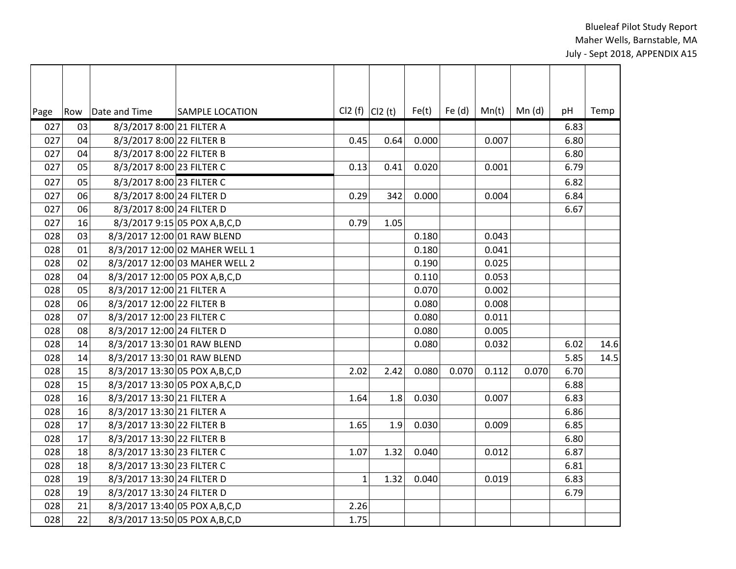| Page | Row | Date and Time                    | <b>SAMPLE LOCATION</b>          |              | $Cl2(f)$ $Cl2(t)$ | Fe(t) | Fe $(d)$ | Mn(t) | Mn (d) | pH   | Temp |
|------|-----|----------------------------------|---------------------------------|--------------|-------------------|-------|----------|-------|--------|------|------|
| 027  | 03  | 8/3/2017 8:00 21 FILTER A        |                                 |              |                   |       |          |       |        | 6.83 |      |
| 027  | 04  | 8/3/2017 8:00 22 FILTER B        |                                 | 0.45         | 0.64              | 0.000 |          | 0.007 |        | 6.80 |      |
| 027  | 04  | 8/3/2017 8:00 22 FILTER B        |                                 |              |                   |       |          |       |        | 6.80 |      |
| 027  | 05  | 8/3/2017 8:00 23 FILTER C        |                                 | 0.13         | 0.41              | 0.020 |          | 0.001 |        | 6.79 |      |
| 027  | 05  | 8/3/2017 8:00 23 FILTER C        |                                 |              |                   |       |          |       |        | 6.82 |      |
| 027  | 06  | 8/3/2017 8:00 24 FILTER D        |                                 | 0.29         | 342               | 0.000 |          | 0.004 |        | 6.84 |      |
| 027  | 06  | 8/3/2017 8:00 24 FILTER D        |                                 |              |                   |       |          |       |        | 6.67 |      |
| 027  | 16  |                                  | 8/3/2017 9:15 05 POX A, B, C, D | 0.79         | 1.05              |       |          |       |        |      |      |
| 028  | 03  | 8/3/2017 12:00 01 RAW BLEND      |                                 |              |                   | 0.180 |          | 0.043 |        |      |      |
| 028  | 01  |                                  | 8/3/2017 12:00 02 MAHER WELL 1  |              |                   | 0.180 |          | 0.041 |        |      |      |
| 028  | 02  |                                  | 8/3/2017 12:00 03 MAHER WELL 2  |              |                   | 0.190 |          | 0.025 |        |      |      |
| 028  | 04  | 8/3/2017 12:00 05 POX A, B, C, D |                                 |              |                   | 0.110 |          | 0.053 |        |      |      |
| 028  | 05  | 8/3/2017 12:00 21 FILTER A       |                                 |              |                   | 0.070 |          | 0.002 |        |      |      |
| 028  | 06  | 8/3/2017 12:00 22 FILTER B       |                                 |              |                   | 0.080 |          | 0.008 |        |      |      |
| 028  | 07  | 8/3/2017 12:00 23 FILTER C       |                                 |              |                   | 0.080 |          | 0.011 |        |      |      |
| 028  | 08  | 8/3/2017 12:00 24 FILTER D       |                                 |              |                   | 0.080 |          | 0.005 |        |      |      |
| 028  | 14  | 8/3/2017 13:30 01 RAW BLEND      |                                 |              |                   | 0.080 |          | 0.032 |        | 6.02 | 14.6 |
| 028  | 14  | 8/3/2017 13:30 01 RAW BLEND      |                                 |              |                   |       |          |       |        | 5.85 | 14.5 |
| 028  | 15  | 8/3/2017 13:30 05 POX A, B, C, D |                                 | 2.02         | 2.42              | 0.080 | 0.070    | 0.112 | 0.070  | 6.70 |      |
| 028  | 15  | 8/3/2017 13:30 05 POX A, B, C, D |                                 |              |                   |       |          |       |        | 6.88 |      |
| 028  | 16  | 8/3/2017 13:30 21 FILTER A       |                                 | 1.64         | 1.8               | 0.030 |          | 0.007 |        | 6.83 |      |
| 028  | 16  | 8/3/2017 13:30 21 FILTER A       |                                 |              |                   |       |          |       |        | 6.86 |      |
| 028  | 17  | 8/3/2017 13:30 22 FILTER B       |                                 | 1.65         | 1.9               | 0.030 |          | 0.009 |        | 6.85 |      |
| 028  | 17  | 8/3/2017 13:30 22 FILTER B       |                                 |              |                   |       |          |       |        | 6.80 |      |
| 028  | 18  | 8/3/2017 13:30 23 FILTER C       |                                 | 1.07         | 1.32              | 0.040 |          | 0.012 |        | 6.87 |      |
| 028  | 18  | 8/3/2017 13:30 23 FILTER C       |                                 |              |                   |       |          |       |        | 6.81 |      |
| 028  | 19  | 8/3/2017 13:30 24 FILTER D       |                                 | $\mathbf{1}$ | 1.32              | 0.040 |          | 0.019 |        | 6.83 |      |
| 028  | 19  | 8/3/2017 13:30 24 FILTER D       |                                 |              |                   |       |          |       |        | 6.79 |      |
| 028  | 21  | 8/3/2017 13:40 05 POX A, B, C, D |                                 | 2.26         |                   |       |          |       |        |      |      |
| 028  | 22  | 8/3/2017 13:50 05 POX A, B, C, D |                                 | 1.75         |                   |       |          |       |        |      |      |